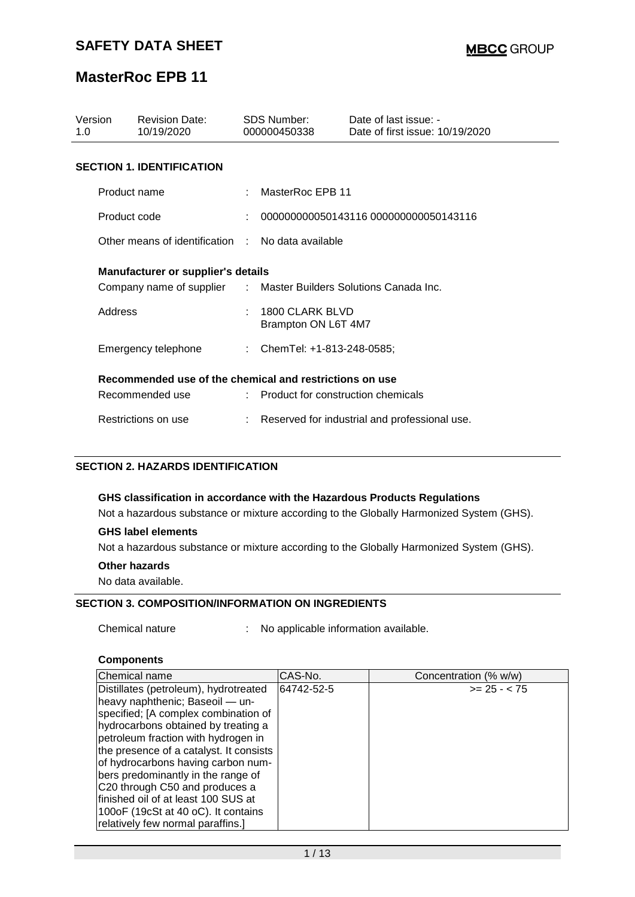| Version<br>1.0 |              | <b>Revision Date:</b><br>10/19/2020                              |   | <b>SDS Number:</b><br>000000450338     | Date of last issue: -<br>Date of first issue: 10/19/2020 |  |  |  |
|----------------|--------------|------------------------------------------------------------------|---|----------------------------------------|----------------------------------------------------------|--|--|--|
|                |              | <b>SECTION 1. IDENTIFICATION</b>                                 |   |                                        |                                                          |  |  |  |
|                | Product name |                                                                  |   | MasterRoc EPB 11                       |                                                          |  |  |  |
|                | Product code |                                                                  | ÷ | 0000000000050143116 000000000050143116 |                                                          |  |  |  |
|                |              | Other means of identification : No data available                |   |                                        |                                                          |  |  |  |
|                |              | <b>Manufacturer or supplier's details</b>                        |   |                                        |                                                          |  |  |  |
|                |              | Company name of supplier : Master Builders Solutions Canada Inc. |   |                                        |                                                          |  |  |  |
|                | Address      |                                                                  |   | 1800 CLARK BLVD<br>Brampton ON L6T 4M7 |                                                          |  |  |  |
|                |              | Emergency telephone                                              |   | : ChemTel: +1-813-248-0585;            |                                                          |  |  |  |
|                |              | Recommended use of the chemical and restrictions on use          |   |                                        |                                                          |  |  |  |
|                |              | Recommended use                                                  |   | : Product for construction chemicals   |                                                          |  |  |  |
|                |              | Restrictions on use                                              |   |                                        | Reserved for industrial and professional use.            |  |  |  |

### **SECTION 2. HAZARDS IDENTIFICATION**

#### **GHS classification in accordance with the Hazardous Products Regulations**

Not a hazardous substance or mixture according to the Globally Harmonized System (GHS).

#### **GHS label elements**

Not a hazardous substance or mixture according to the Globally Harmonized System (GHS).

#### **Other hazards**

No data available.

#### **SECTION 3. COMPOSITION/INFORMATION ON INGREDIENTS**

Chemical nature : No applicable information available.

#### **Components**

| lChemical name                          | CAS-No.    | Concentration (% w/w) |
|-----------------------------------------|------------|-----------------------|
| Distillates (petroleum), hydrotreated   | 64742-52-5 | $>= 25 - < 75$        |
| heavy naphthenic; Baseoil - un-         |            |                       |
| specified; [A complex combination of    |            |                       |
| hydrocarbons obtained by treating a     |            |                       |
| petroleum fraction with hydrogen in     |            |                       |
| the presence of a catalyst. It consists |            |                       |
| of hydrocarbons having carbon num-      |            |                       |
| bers predominantly in the range of      |            |                       |
| C20 through C50 and produces a          |            |                       |
| finished oil of at least 100 SUS at     |            |                       |
| 1000F (19cSt at 40 oC). It contains     |            |                       |
| relatively few normal paraffins.]       |            |                       |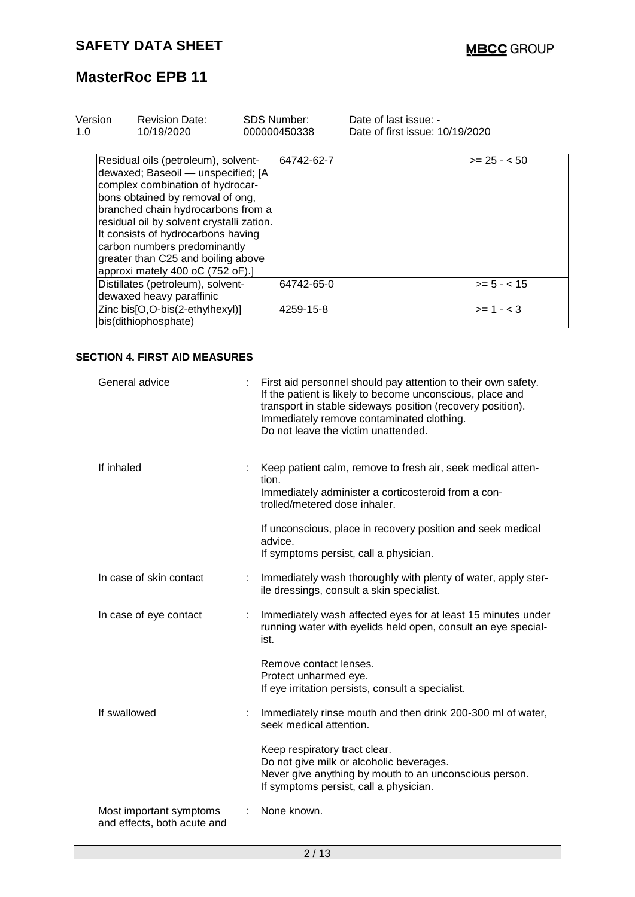| Version<br>1.0 | <b>Revision Date:</b><br>10/19/2020                                                                                                                                                                                                                                                                                                                                                  | <b>SDS Number:</b> | 000000450338 | Date of last issue: -<br>Date of first issue: 10/19/2020 |               |
|----------------|--------------------------------------------------------------------------------------------------------------------------------------------------------------------------------------------------------------------------------------------------------------------------------------------------------------------------------------------------------------------------------------|--------------------|--------------|----------------------------------------------------------|---------------|
|                | Residual oils (petroleum), solvent-<br>dewaxed; Baseoil - unspecified; [A<br>complex combination of hydrocar-<br>bons obtained by removal of ong,<br>branched chain hydrocarbons from a<br>residual oil by solvent crystalli zation.<br>It consists of hydrocarbons having<br>carbon numbers predominantly<br>greater than C25 and boiling above<br>approxi mately 400 oC (752 oF).] |                    | 64742-62-7   |                                                          | $>= 25 - 50$  |
|                | Distillates (petroleum), solvent-<br>dewaxed heavy paraffinic                                                                                                                                                                                                                                                                                                                        |                    | 64742-65-0   |                                                          | $>= 5 - < 15$ |
|                | Zinc bis[O,O-bis(2-ethylhexyl)]<br>bis(dithiophosphate)                                                                                                                                                                                                                                                                                                                              |                    | 4259-15-8    |                                                          | $>= 1 - < 3$  |

### **SECTION 4. FIRST AID MEASURES**

| General advice                                         | First aid personnel should pay attention to their own safety.<br>If the patient is likely to become unconscious, place and<br>transport in stable sideways position (recovery position).<br>Immediately remove contaminated clothing.<br>Do not leave the victim unattended. |
|--------------------------------------------------------|------------------------------------------------------------------------------------------------------------------------------------------------------------------------------------------------------------------------------------------------------------------------------|
| If inhaled                                             | Keep patient calm, remove to fresh air, seek medical atten-<br>tion.<br>Immediately administer a corticosteroid from a con-<br>trolled/metered dose inhaler.                                                                                                                 |
|                                                        | If unconscious, place in recovery position and seek medical<br>advice.<br>If symptoms persist, call a physician.                                                                                                                                                             |
| In case of skin contact                                | Immediately wash thoroughly with plenty of water, apply ster-<br>ile dressings, consult a skin specialist.                                                                                                                                                                   |
| In case of eye contact                                 | Immediately wash affected eyes for at least 15 minutes under<br>running water with eyelids held open, consult an eye special-<br>ist.                                                                                                                                        |
|                                                        | Remove contact lenses.<br>Protect unharmed eye.<br>If eye irritation persists, consult a specialist.                                                                                                                                                                         |
| If swallowed                                           | Immediately rinse mouth and then drink 200-300 ml of water,<br>seek medical attention.                                                                                                                                                                                       |
|                                                        | Keep respiratory tract clear.<br>Do not give milk or alcoholic beverages.<br>Never give anything by mouth to an unconscious person.<br>If symptoms persist, call a physician.                                                                                                |
| Most important symptoms<br>and effects, both acute and | None known.                                                                                                                                                                                                                                                                  |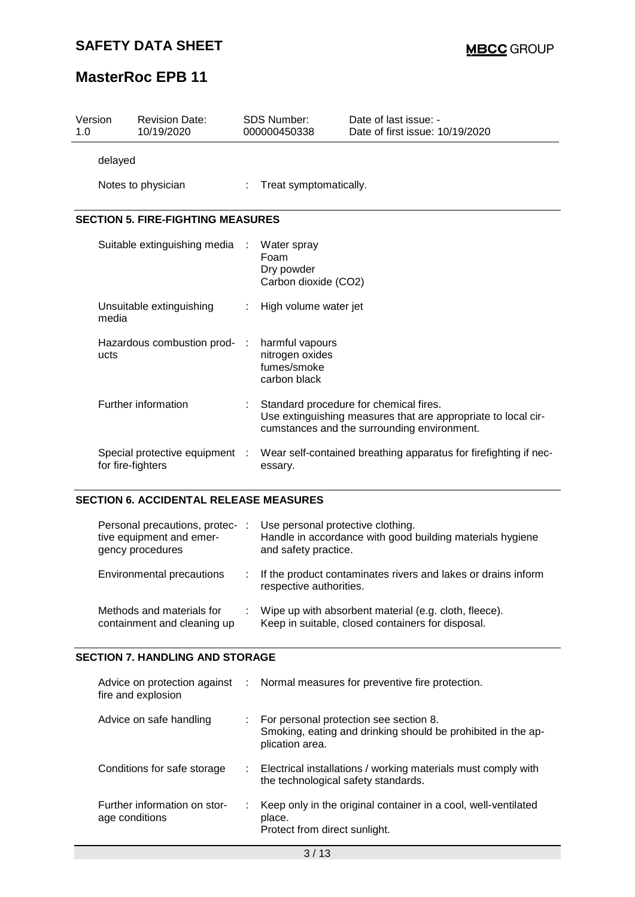### **SAFETY DATA SHEET**

# **MasterRoc EPB 11**

| 1.0                                      | Version            | <b>Revision Date:</b><br>10/19/2020 |  | <b>SDS Number:</b><br>000000450338                                | Date of last issue: -<br>Date of first issue: 10/19/2020                                                                                               |  |  |
|------------------------------------------|--------------------|-------------------------------------|--|-------------------------------------------------------------------|--------------------------------------------------------------------------------------------------------------------------------------------------------|--|--|
|                                          | delayed            |                                     |  |                                                                   |                                                                                                                                                        |  |  |
|                                          | Notes to physician |                                     |  | Treat symptomatically.                                            |                                                                                                                                                        |  |  |
| <b>SECTION 5. FIRE-FIGHTING MEASURES</b> |                    |                                     |  |                                                                   |                                                                                                                                                        |  |  |
|                                          |                    | Suitable extinguishing media        |  | Water spray<br>Foam<br>Dry powder<br>Carbon dioxide (CO2)         |                                                                                                                                                        |  |  |
|                                          | media              | Unsuitable extinguishing            |  | High volume water jet                                             |                                                                                                                                                        |  |  |
|                                          | ucts               | Hazardous combustion prod-          |  | harmful vapours<br>nitrogen oxides<br>fumes/smoke<br>carbon black |                                                                                                                                                        |  |  |
|                                          |                    | Further information                 |  |                                                                   | Standard procedure for chemical fires.<br>Use extinguishing measures that are appropriate to local cir-<br>cumstances and the surrounding environment. |  |  |
|                                          | for fire-fighters  | Special protective equipment :      |  | essary.                                                           | Wear self-contained breathing apparatus for firefighting if nec-                                                                                       |  |  |

#### **SECTION 6. ACCIDENTAL RELEASE MEASURES**

| Personal precautions, protec-<br>tive equipment and emer-<br>gency procedures |    | Use personal protective clothing.<br>Handle in accordance with good building materials hygiene<br>and safety practice. |
|-------------------------------------------------------------------------------|----|------------------------------------------------------------------------------------------------------------------------|
| Environmental precautions                                                     | ÷. | If the product contaminates rivers and lakes or drains inform<br>respective authorities.                               |
| Methods and materials for<br>containment and cleaning up                      |    | Wipe up with absorbent material (e.g. cloth, fleece).<br>Keep in suitable, closed containers for disposal.             |

### **SECTION 7. HANDLING AND STORAGE**

| fire and explosion                             |    | Advice on protection against : Normal measures for preventive fire protection.                                                         |
|------------------------------------------------|----|----------------------------------------------------------------------------------------------------------------------------------------|
| Advice on safe handling                        |    | $\therefore$ For personal protection see section 8.<br>Smoking, eating and drinking should be prohibited in the ap-<br>plication area. |
| Conditions for safe storage                    |    | : Electrical installations / working materials must comply with<br>the technological safety standards.                                 |
| Further information on stor-<br>age conditions | ÷. | Keep only in the original container in a cool, well-ventilated<br>place.<br>Protect from direct sunlight.                              |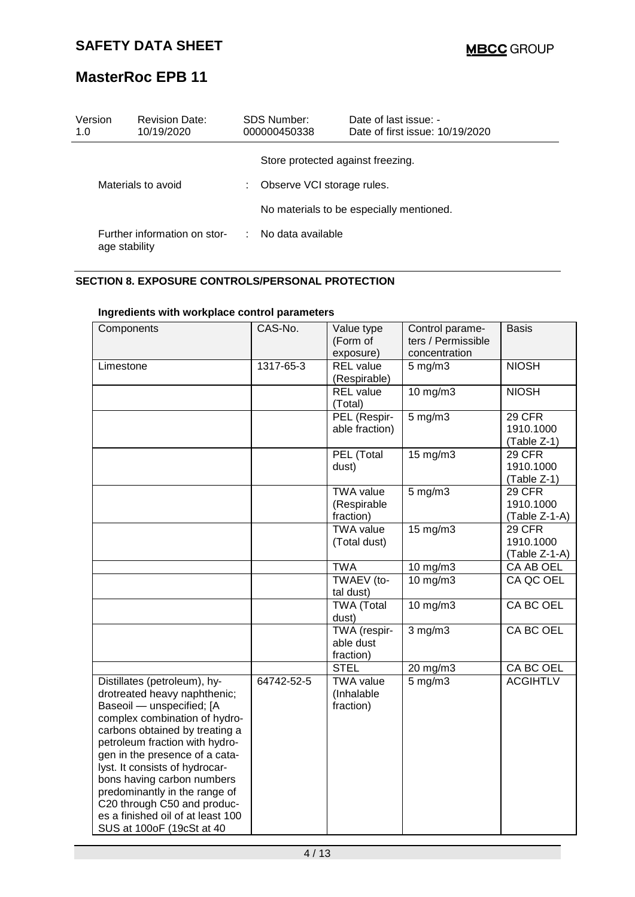| Version<br>1.0     | <b>Revision Date:</b><br>10/19/2020           | SDS Number:<br>000000450338       | Date of last issue: -<br>Date of first issue: 10/19/2020 |  |
|--------------------|-----------------------------------------------|-----------------------------------|----------------------------------------------------------|--|
|                    |                                               | Store protected against freezing. |                                                          |  |
| Materials to avoid |                                               | Observe VCI storage rules.        |                                                          |  |
|                    |                                               |                                   | No materials to be especially mentioned.                 |  |
|                    | Further information on stor-<br>age stability | . No data available               |                                                          |  |

### **SECTION 8. EXPOSURE CONTROLS/PERSONAL PROTECTION**

| Components                                                                                                                                                                                                                                                                                                                                                                                                                         | CAS-No.    | Value type<br>(Form of<br>exposure)          | Control parame-<br>ters / Permissible<br>concentration | <b>Basis</b>                           |
|------------------------------------------------------------------------------------------------------------------------------------------------------------------------------------------------------------------------------------------------------------------------------------------------------------------------------------------------------------------------------------------------------------------------------------|------------|----------------------------------------------|--------------------------------------------------------|----------------------------------------|
| Limestone                                                                                                                                                                                                                                                                                                                                                                                                                          | 1317-65-3  | <b>REL</b> value<br>(Respirable)             | $5$ mg/m $3$                                           | <b>NIOSH</b>                           |
|                                                                                                                                                                                                                                                                                                                                                                                                                                    |            | <b>REL</b> value<br>(Total)                  | 10 mg/m3                                               | <b>NIOSH</b>                           |
|                                                                                                                                                                                                                                                                                                                                                                                                                                    |            | PEL (Respir-<br>able fraction)               | $5$ mg/m $3$                                           | 29 CFR<br>1910.1000<br>(Table Z-1)     |
|                                                                                                                                                                                                                                                                                                                                                                                                                                    |            | PEL (Total<br>dust)                          | 15 mg/m3                                               | 29 CFR<br>1910.1000<br>(Table Z-1)     |
|                                                                                                                                                                                                                                                                                                                                                                                                                                    |            | <b>TWA value</b><br>(Respirable<br>fraction) | $5 \,\mathrm{mg/m}$                                    | 29 CFR<br>1910.1000<br>$(Table Z-1-A)$ |
|                                                                                                                                                                                                                                                                                                                                                                                                                                    |            | <b>TWA value</b><br>(Total dust)             | 15 mg/m3                                               | 29 CFR<br>1910.1000<br>(Table Z-1-A)   |
|                                                                                                                                                                                                                                                                                                                                                                                                                                    |            | <b>TWA</b>                                   | 10 $mg/m3$                                             | <b>CA AB OEL</b>                       |
|                                                                                                                                                                                                                                                                                                                                                                                                                                    |            | TWAEV (to-<br>tal dust)                      | 10 mg/m3                                               | CA QC OEL                              |
|                                                                                                                                                                                                                                                                                                                                                                                                                                    |            | TWA (Total<br>dust)                          | $10$ mg/m $3$                                          | CA BC OEL                              |
|                                                                                                                                                                                                                                                                                                                                                                                                                                    |            | TWA (respir-<br>able dust<br>fraction)       | $3$ mg/m $3$                                           | CA BC OEL                              |
|                                                                                                                                                                                                                                                                                                                                                                                                                                    |            | <b>STEL</b>                                  | 20 mg/m3                                               | CA BC OEL                              |
| Distillates (petroleum), hy-<br>drotreated heavy naphthenic;<br>Baseoil - unspecified; [A<br>complex combination of hydro-<br>carbons obtained by treating a<br>petroleum fraction with hydro-<br>gen in the presence of a cata-<br>lyst. It consists of hydrocar-<br>bons having carbon numbers<br>predominantly in the range of<br>C20 through C50 and produc-<br>es a finished oil of at least 100<br>SUS at 100oF (19cSt at 40 | 64742-52-5 | <b>TWA value</b><br>(Inhalable<br>fraction)  | $5$ mg/m $3$                                           | <b>ACGIHTLV</b>                        |

### **Ingredients with workplace control parameters**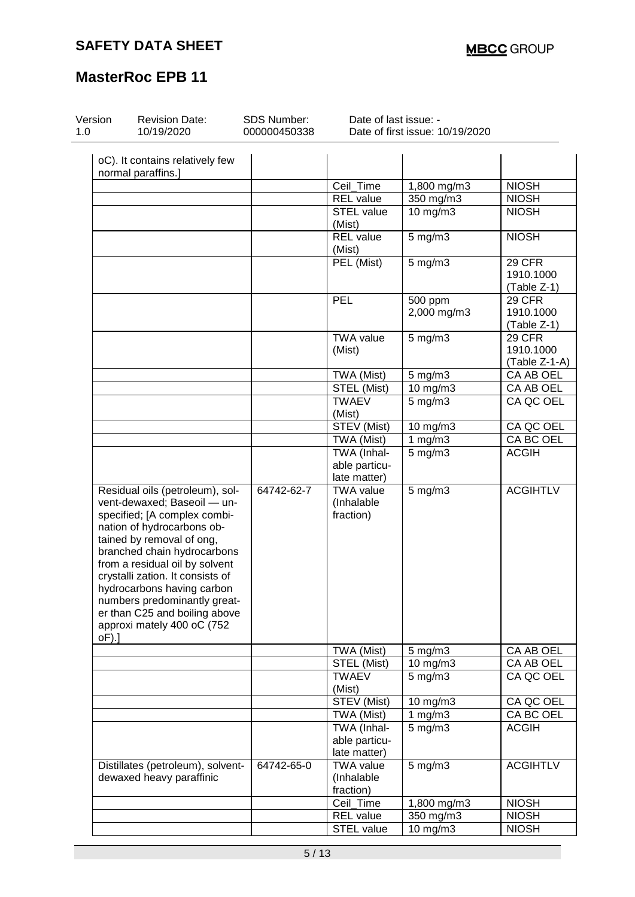| Version<br>1.0 | <b>Revision Date:</b><br>10/19/2020                                                                                                                                                                                                                                                                                                                                                         | SDS Number:<br>000000450338 | Date of last issue: -                        | Date of first issue: 10/19/2020     |                                           |
|----------------|---------------------------------------------------------------------------------------------------------------------------------------------------------------------------------------------------------------------------------------------------------------------------------------------------------------------------------------------------------------------------------------------|-----------------------------|----------------------------------------------|-------------------------------------|-------------------------------------------|
|                | oC). It contains relatively few<br>normal paraffins.]                                                                                                                                                                                                                                                                                                                                       |                             |                                              |                                     |                                           |
|                |                                                                                                                                                                                                                                                                                                                                                                                             |                             | Ceil_Time                                    | 1,800 mg/m3                         | <b>NIOSH</b>                              |
|                |                                                                                                                                                                                                                                                                                                                                                                                             |                             | <b>REL</b> value                             | 350 mg/m3                           | <b>NIOSH</b>                              |
|                |                                                                                                                                                                                                                                                                                                                                                                                             |                             | <b>STEL value</b><br>(Mist)                  | $10$ mg/m $3$                       | <b>NIOSH</b>                              |
|                |                                                                                                                                                                                                                                                                                                                                                                                             |                             | <b>REL</b> value<br>(Mist)                   | 5 mg/m3                             | <b>NIOSH</b>                              |
|                |                                                                                                                                                                                                                                                                                                                                                                                             |                             | PEL (Mist)                                   | 5 mg/m3                             | 29 CFR<br>1910.1000<br>(Table Z-1)        |
|                |                                                                                                                                                                                                                                                                                                                                                                                             |                             | PEL                                          | $\overline{500}$ ppm<br>2,000 mg/m3 | <b>29 CFR</b><br>1910.1000<br>(Table Z-1) |
|                |                                                                                                                                                                                                                                                                                                                                                                                             |                             | <b>TWA value</b><br>(Mist)                   | $5$ mg/m $3$                        | 29 CFR<br>1910.1000<br>(Table Z-1-A)      |
|                |                                                                                                                                                                                                                                                                                                                                                                                             |                             | TWA (Mist)                                   | 5 mg/m3                             | CA AB OEL                                 |
|                |                                                                                                                                                                                                                                                                                                                                                                                             |                             | STEL (Mist)                                  | 10 mg/m3                            | CA AB OEL                                 |
|                |                                                                                                                                                                                                                                                                                                                                                                                             |                             | <b>TWAEV</b><br>(Mist)                       | $5 \,\mathrm{mg/m}$                 | CA QC OEL                                 |
|                |                                                                                                                                                                                                                                                                                                                                                                                             |                             | STEV (Mist)                                  | 10 mg/m3                            | CA QC OEL                                 |
|                |                                                                                                                                                                                                                                                                                                                                                                                             |                             | TWA (Mist)                                   | 1 $mg/m3$                           | CA BC OEL                                 |
|                |                                                                                                                                                                                                                                                                                                                                                                                             |                             | TWA (Inhal-<br>able particu-<br>late matter) | $5$ mg/m $3$                        | <b>ACGIH</b>                              |
| $oF$ ).]       | Residual oils (petroleum), sol-<br>vent-dewaxed; Baseoil - un-<br>specified; [A complex combi-<br>nation of hydrocarbons ob-<br>tained by removal of ong,<br>branched chain hydrocarbons<br>from a residual oil by solvent<br>crystalli zation. It consists of<br>hydrocarbons having carbon<br>numbers predominantly great-<br>er than C25 and boiling above<br>approxi mately 400 oC (752 | 64742-62-7                  | <b>TWA value</b><br>(Inhalable<br>fraction)  | $5$ mg/m $3$                        | <b>ACGIHTLV</b>                           |
|                |                                                                                                                                                                                                                                                                                                                                                                                             |                             | TWA (Mist)                                   | $5$ mg/m $3$                        | CA AB OEL                                 |
|                |                                                                                                                                                                                                                                                                                                                                                                                             |                             | STEL (Mist)                                  | $10 \text{ mg/m}$                   | CA AB OEL                                 |
|                |                                                                                                                                                                                                                                                                                                                                                                                             |                             | <b>TWAEV</b><br>(Mist)                       | $5$ mg/m $3$                        | CA QC OEL                                 |
|                |                                                                                                                                                                                                                                                                                                                                                                                             |                             | STEV (Mist)                                  | 10 mg/m3                            | CA QC OEL                                 |
|                |                                                                                                                                                                                                                                                                                                                                                                                             |                             | TWA (Mist)                                   | 1 $mg/m3$                           | CA BC OEL                                 |
|                |                                                                                                                                                                                                                                                                                                                                                                                             |                             | TWA (Inhal-<br>able particu-<br>late matter) | $5$ mg/m $3$                        | <b>ACGIH</b>                              |
|                | Distillates (petroleum), solvent-<br>dewaxed heavy paraffinic                                                                                                                                                                                                                                                                                                                               | 64742-65-0                  | <b>TWA value</b><br>(Inhalable<br>fraction)  | $5$ mg/m $3$                        | <b>ACGIHTLV</b>                           |
|                |                                                                                                                                                                                                                                                                                                                                                                                             |                             | Ceil_Time                                    | 1,800 mg/m3                         | <b>NIOSH</b>                              |
|                |                                                                                                                                                                                                                                                                                                                                                                                             |                             | REL value                                    | 350 mg/m3                           | <b>NIOSH</b>                              |
|                |                                                                                                                                                                                                                                                                                                                                                                                             |                             | STEL value                                   | 10 mg/m3                            | <b>NIOSH</b>                              |
|                |                                                                                                                                                                                                                                                                                                                                                                                             |                             |                                              |                                     |                                           |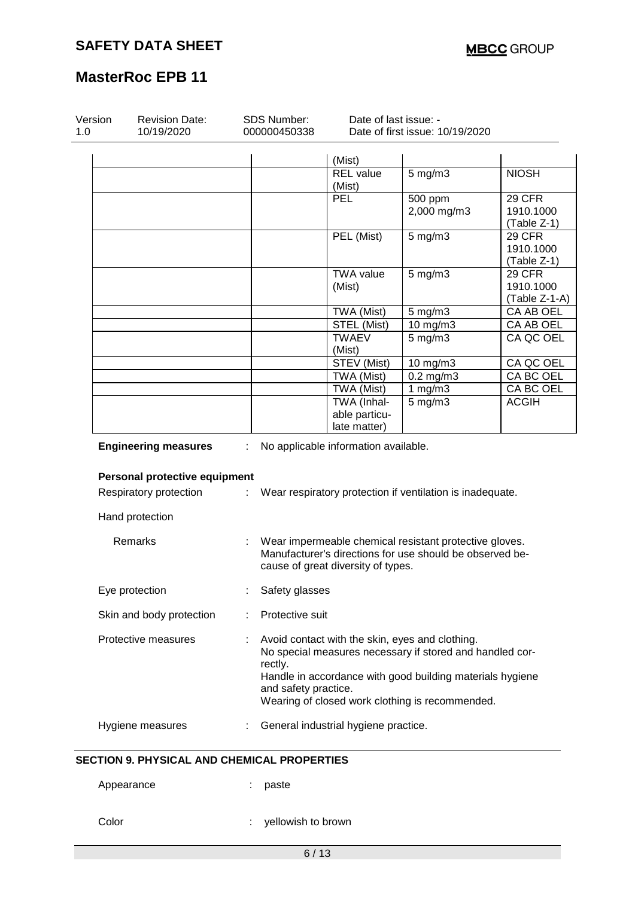| <b>Revision Date:</b><br>10/19/2020 |   | SDS Number:<br>000000450338     | Date of last issue: -                        | Date of first issue: 10/19/2020                                                                                                                                                                                             |                                             |
|-------------------------------------|---|---------------------------------|----------------------------------------------|-----------------------------------------------------------------------------------------------------------------------------------------------------------------------------------------------------------------------------|---------------------------------------------|
|                                     |   |                                 | (Mist)                                       |                                                                                                                                                                                                                             |                                             |
|                                     |   |                                 | <b>REL</b> value<br>(Mist)                   | $5$ mg/m $3$                                                                                                                                                                                                                | <b>NIOSH</b>                                |
|                                     |   |                                 | <b>PEL</b>                                   | 500 ppm<br>2,000 mg/m3                                                                                                                                                                                                      | <b>29 CFR</b><br>1910.1000<br>$(Table Z-1)$ |
|                                     |   |                                 | PEL (Mist)                                   | $5$ mg/m $3$                                                                                                                                                                                                                | 29 CFR<br>1910.1000<br>(Table Z-1)          |
|                                     |   |                                 | <b>TWA value</b><br>(Mist)                   | $5$ mg/m $3$                                                                                                                                                                                                                | 29 CFR<br>1910.1000<br>$(Table Z-1-A)$      |
|                                     |   |                                 | TWA (Mist)                                   | $5$ mg/m $3$                                                                                                                                                                                                                | CA AB OEL                                   |
|                                     |   |                                 | STEL (Mist)                                  | 10 mg/m3                                                                                                                                                                                                                    | CA AB OEL                                   |
|                                     |   |                                 | <b>TWAEV</b><br>(Mist)                       | $5$ mg/m $3$                                                                                                                                                                                                                | CA QC OEL                                   |
|                                     |   |                                 | STEV (Mist)                                  | 10 mg/m3                                                                                                                                                                                                                    | CA QC OEL                                   |
|                                     |   |                                 | TWA (Mist)                                   | $0.2$ mg/m $3$                                                                                                                                                                                                              | CA BC OEL                                   |
|                                     |   |                                 | TWA (Mist)                                   | 1 $mg/m3$                                                                                                                                                                                                                   | CA BC OEL                                   |
|                                     |   |                                 | TWA (Inhal-<br>able particu-<br>late matter) | $5$ mg/m $3$                                                                                                                                                                                                                | <b>ACGIH</b>                                |
| <b>Engineering measures</b>         | ÷ |                                 | No applicable information available.         |                                                                                                                                                                                                                             |                                             |
| Personal protective equipment       |   |                                 |                                              |                                                                                                                                                                                                                             |                                             |
| Respiratory protection              | ÷ |                                 |                                              | Wear respiratory protection if ventilation is inadequate.                                                                                                                                                                   |                                             |
| Hand protection                     |   |                                 |                                              |                                                                                                                                                                                                                             |                                             |
| Remarks                             |   |                                 | cause of great diversity of types.           | Wear impermeable chemical resistant protective gloves.<br>Manufacturer's directions for use should be observed be-                                                                                                          |                                             |
| Eye protection                      |   | Safety glasses                  |                                              |                                                                                                                                                                                                                             |                                             |
| Skin and body protection            |   | Protective suit                 |                                              |                                                                                                                                                                                                                             |                                             |
| Protective measures                 |   | rectly.<br>and safety practice. |                                              | Avoid contact with the skin, eyes and clothing.<br>No special measures necessary if stored and handled cor-<br>Handle in accordance with good building materials hygiene<br>Wearing of closed work clothing is recommended. |                                             |

#### **SECTION 9. PHYSICAL AND CHEMICAL PROPERTIES**

Appearance : paste

| Color |  |
|-------|--|
|-------|--|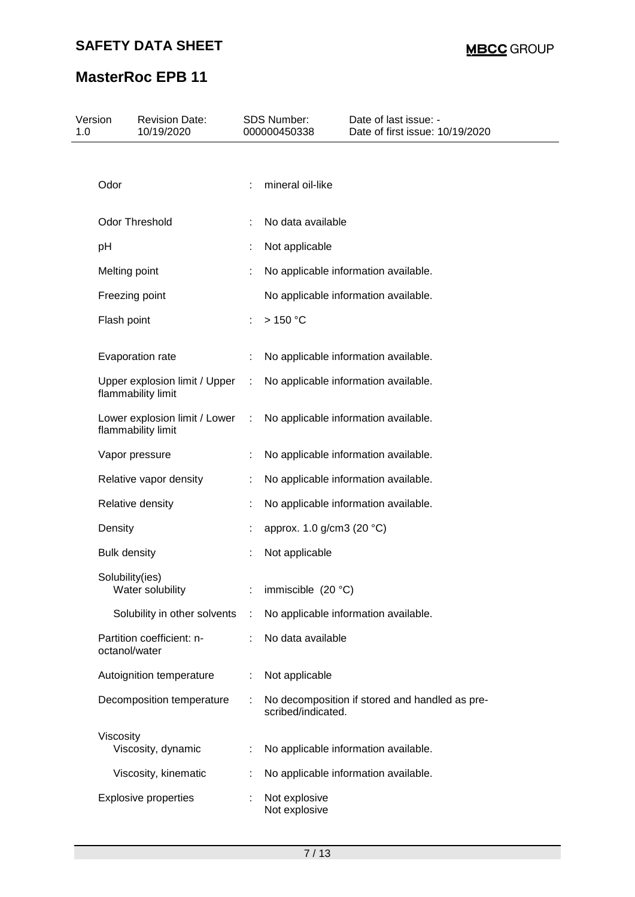| 1.0 | Version             | <b>Revision Date:</b><br>10/19/2020                 |                             | SDS Number:<br>000000450338    | Date of last issue: -<br>Date of first issue: 10/19/2020 |
|-----|---------------------|-----------------------------------------------------|-----------------------------|--------------------------------|----------------------------------------------------------|
|     |                     |                                                     |                             |                                |                                                          |
|     | Odor                |                                                     |                             | mineral oil-like               |                                                          |
|     |                     | <b>Odor Threshold</b>                               |                             | No data available              |                                                          |
|     |                     |                                                     |                             |                                |                                                          |
|     | pH                  |                                                     |                             | Not applicable                 |                                                          |
|     | Melting point       |                                                     | ÷                           |                                | No applicable information available.                     |
|     | Freezing point      |                                                     |                             |                                | No applicable information available.                     |
|     | Flash point         |                                                     |                             | >150 °C                        |                                                          |
|     |                     | Evaporation rate                                    |                             |                                | No applicable information available.                     |
|     |                     | Upper explosion limit / Upper<br>flammability limit | $\sim$                      |                                | No applicable information available.                     |
|     |                     | Lower explosion limit / Lower<br>flammability limit | $\mathcal{L}^{\mathcal{L}}$ |                                | No applicable information available.                     |
|     |                     | Vapor pressure                                      |                             |                                | No applicable information available.                     |
|     |                     | Relative vapor density                              |                             |                                | No applicable information available.                     |
|     |                     | Relative density                                    |                             |                                | No applicable information available.                     |
|     | Density             |                                                     |                             | approx. 1.0 g/cm3 (20 °C)      |                                                          |
|     | <b>Bulk density</b> |                                                     | ÷.                          | Not applicable                 |                                                          |
|     | Solubility(ies)     | Water solubility                                    |                             | immiscible $(20 °C)$           |                                                          |
|     |                     | Solubility in other solvents                        | -11                         |                                | No applicable information available.                     |
|     | octanol/water       | Partition coefficient: n-                           |                             | No data available              |                                                          |
|     |                     | Autoignition temperature                            | ÷                           | Not applicable                 |                                                          |
|     |                     | Decomposition temperature                           | ÷.                          | scribed/indicated.             | No decomposition if stored and handled as pre-           |
|     | Viscosity           | Viscosity, dynamic                                  |                             |                                | No applicable information available.                     |
|     |                     | Viscosity, kinematic                                |                             |                                | No applicable information available.                     |
|     |                     | <b>Explosive properties</b>                         |                             | Not explosive<br>Not explosive |                                                          |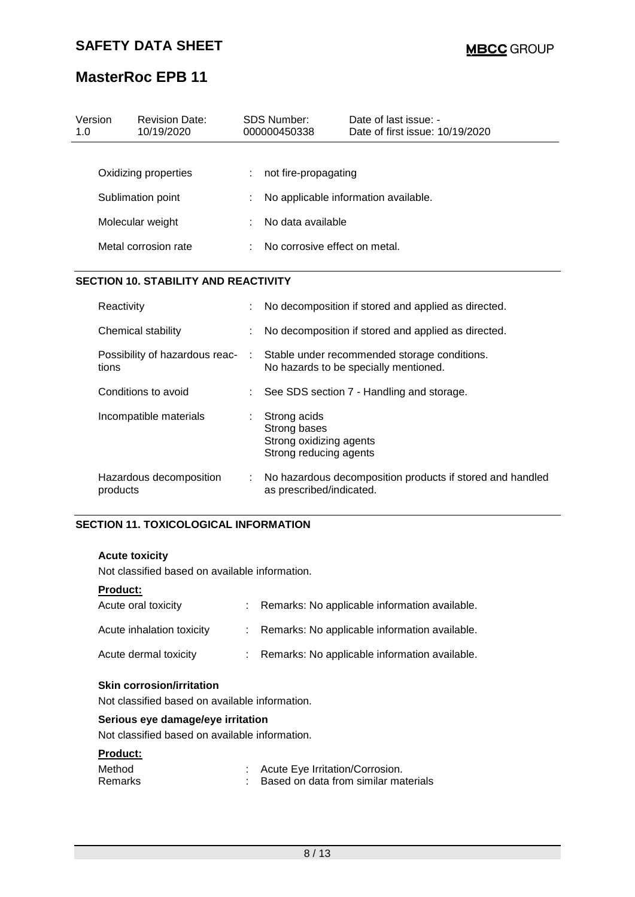| Version<br>1.0 |                                                               | <b>Revision Date:</b><br>10/19/2020 |   | <b>SDS Number:</b><br>000000450338                                                | Date of last issue: -<br>Date of first issue: 10/19/2020                              |  |  |
|----------------|---------------------------------------------------------------|-------------------------------------|---|-----------------------------------------------------------------------------------|---------------------------------------------------------------------------------------|--|--|
|                |                                                               | Oxidizing properties                |   | not fire-propagating                                                              |                                                                                       |  |  |
|                |                                                               | Sublimation point                   |   | No applicable information available.                                              |                                                                                       |  |  |
|                |                                                               | Molecular weight                    |   | No data available                                                                 |                                                                                       |  |  |
|                |                                                               | Metal corrosion rate                |   | No corrosive effect on metal.                                                     |                                                                                       |  |  |
|                | <b>SECTION 10. STABILITY AND REACTIVITY</b>                   |                                     |   |                                                                                   |                                                                                       |  |  |
|                | Reactivity                                                    |                                     |   | No decomposition if stored and applied as directed.                               |                                                                                       |  |  |
|                | Chemical stability<br>Possibility of hazardous reac-<br>tions |                                     |   |                                                                                   | No decomposition if stored and applied as directed.                                   |  |  |
|                |                                                               |                                     | ÷ |                                                                                   | Stable under recommended storage conditions.<br>No hazards to be specially mentioned. |  |  |
|                | Conditions to avoid                                           |                                     |   | See SDS section 7 - Handling and storage.                                         |                                                                                       |  |  |
|                |                                                               | Incompatible materials              | ÷ | Strong acids<br>Strong bases<br>Strong oxidizing agents<br>Strong reducing agents |                                                                                       |  |  |
|                | Hazardous decomposition<br>products                           |                                     | ÷ | as prescribed/indicated.                                                          | No hazardous decomposition products if stored and handled                             |  |  |

#### **SECTION 11. TOXICOLOGICAL INFORMATION**

### **Acute toxicity**

Not classified based on available information.

#### **Product:**

| Acute oral toxicity       | : Remarks: No applicable information available. |
|---------------------------|-------------------------------------------------|
| Acute inhalation toxicity | : Remarks: No applicable information available. |
| Acute dermal toxicity     | : Remarks: No applicable information available. |

#### **Skin corrosion/irritation**

Not classified based on available information.

### **Serious eye damage/eye irritation**

Not classified based on available information.

#### **Product:**

| Method         | Acute Eye Irritation/Corrosion.      |
|----------------|--------------------------------------|
| <b>Remarks</b> | Based on data from similar materials |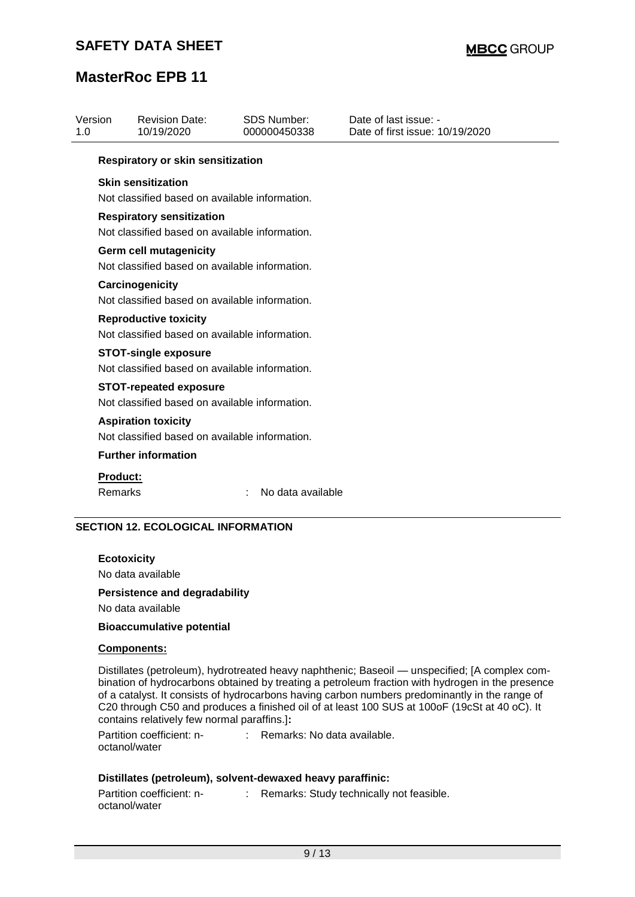| Version<br>1.0 |                                                                                    | <b>Revision Date:</b><br>10/19/2020                                             | <b>SDS Number:</b><br>000000450338 | Date of last issue: -<br>Date of first issue: 10/19/2020 |  |  |  |  |
|----------------|------------------------------------------------------------------------------------|---------------------------------------------------------------------------------|------------------------------------|----------------------------------------------------------|--|--|--|--|
|                |                                                                                    | <b>Respiratory or skin sensitization</b>                                        |                                    |                                                          |  |  |  |  |
|                | <b>Skin sensitization</b><br>Not classified based on available information.        |                                                                                 |                                    |                                                          |  |  |  |  |
|                | <b>Respiratory sensitization</b><br>Not classified based on available information. |                                                                                 |                                    |                                                          |  |  |  |  |
|                | <b>Germ cell mutagenicity</b><br>Not classified based on available information.    |                                                                                 |                                    |                                                          |  |  |  |  |
|                | Carcinogenicity<br>Not classified based on available information.                  |                                                                                 |                                    |                                                          |  |  |  |  |
|                |                                                                                    | <b>Reproductive toxicity</b><br>Not classified based on available information.  |                                    |                                                          |  |  |  |  |
|                |                                                                                    | <b>STOT-single exposure</b><br>Not classified based on available information.   |                                    |                                                          |  |  |  |  |
|                |                                                                                    | <b>STOT-repeated exposure</b><br>Not classified based on available information. |                                    |                                                          |  |  |  |  |
|                |                                                                                    | <b>Aspiration toxicity</b><br>Not classified based on available information.    |                                    |                                                          |  |  |  |  |
|                |                                                                                    | <b>Further information</b>                                                      |                                    |                                                          |  |  |  |  |
|                | <b>Product:</b><br>Remarks                                                         |                                                                                 | No data available                  |                                                          |  |  |  |  |

### **SECTION 12. ECOLOGICAL INFORMATION**

**Ecotoxicity** No data available

#### **Persistence and degradability**

No data available

#### **Bioaccumulative potential**

#### **Components:**

Distillates (petroleum), hydrotreated heavy naphthenic; Baseoil — unspecified; [A complex combination of hydrocarbons obtained by treating a petroleum fraction with hydrogen in the presence of a catalyst. It consists of hydrocarbons having carbon numbers predominantly in the range of C20 through C50 and produces a finished oil of at least 100 SUS at 100oF (19cSt at 40 oC). It contains relatively few normal paraffins.]**:**

Partition coefficient: noctanol/water : Remarks: No data available.

#### **Distillates (petroleum), solvent-dewaxed heavy paraffinic:**

| Partition coefficient: n- | Remarks: Study technically not feasible. |
|---------------------------|------------------------------------------|
| octanol/water             |                                          |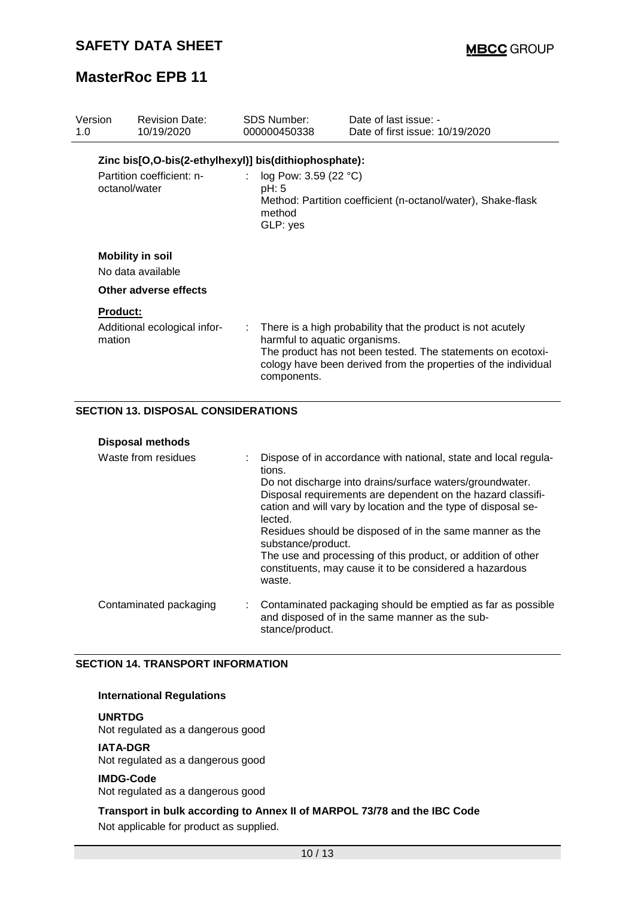| Version<br>1.0            | <b>Revision Date:</b><br>10/19/2020                   | SDS Number:<br>000000450338                              | Date of last issue: -<br>Date of first issue: 10/19/2020                                                                                                                                       |  |
|---------------------------|-------------------------------------------------------|----------------------------------------------------------|------------------------------------------------------------------------------------------------------------------------------------------------------------------------------------------------|--|
|                           | Zinc bis[O,O-bis(2-ethylhexyl)] bis(dithiophosphate): |                                                          |                                                                                                                                                                                                |  |
|                           | Partition coefficient: n-<br>octanol/water            | : $log Pow: 3.59 (22 °C)$<br>pH: 5<br>method<br>GLP: yes | Method: Partition coefficient (n-octanol/water), Shake-flask                                                                                                                                   |  |
|                           | <b>Mobility in soil</b>                               |                                                          |                                                                                                                                                                                                |  |
|                           | No data available<br>Other adverse effects            |                                                          |                                                                                                                                                                                                |  |
| <b>Product:</b><br>mation | Additional ecological infor-                          | harmful to aquatic organisms.<br>components.             | : There is a high probability that the product is not acutely<br>The product has not been tested. The statements on ecotoxi-<br>cology have been derived from the properties of the individual |  |

### **SECTION 13. DISPOSAL CONSIDERATIONS**

#### **Disposal methods**

| Waste from residues    | Dispose of in accordance with national, state and local regula-<br>tions.<br>Do not discharge into drains/surface waters/groundwater.<br>Disposal requirements are dependent on the hazard classifi-<br>cation and will vary by location and the type of disposal se-<br>lected.<br>Residues should be disposed of in the same manner as the<br>substance/product.<br>The use and processing of this product, or addition of other<br>constituents, may cause it to be considered a hazardous<br>waste. |
|------------------------|---------------------------------------------------------------------------------------------------------------------------------------------------------------------------------------------------------------------------------------------------------------------------------------------------------------------------------------------------------------------------------------------------------------------------------------------------------------------------------------------------------|
| Contaminated packaging | Contaminated packaging should be emptied as far as possible<br>and disposed of in the same manner as the sub-<br>stance/product.                                                                                                                                                                                                                                                                                                                                                                        |

#### **SECTION 14. TRANSPORT INFORMATION**

#### **International Regulations**

**UNRTDG** Not regulated as a dangerous good

### **IATA-DGR**

Not regulated as a dangerous good

#### **IMDG-Code**

Not regulated as a dangerous good

### **Transport in bulk according to Annex II of MARPOL 73/78 and the IBC Code** Not applicable for product as supplied.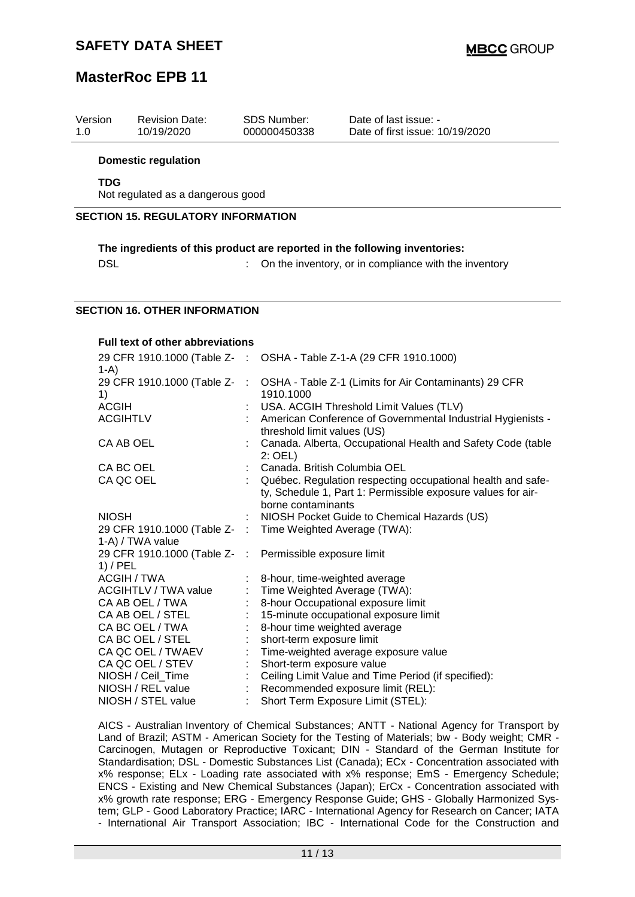| Version<br>1.0 | <b>Revision Date:</b><br>10/19/2020                                           |           | SDS Number:<br>000000450338  | Date of last issue: -<br>Date of first issue: 10/19/2020                                                                    |
|----------------|-------------------------------------------------------------------------------|-----------|------------------------------|-----------------------------------------------------------------------------------------------------------------------------|
|                | <b>Domestic regulation</b>                                                    |           |                              |                                                                                                                             |
|                | <b>TDG</b>                                                                    |           |                              |                                                                                                                             |
|                | Not regulated as a dangerous good                                             |           |                              |                                                                                                                             |
|                | <b>SECTION 15. REGULATORY INFORMATION</b>                                     |           |                              |                                                                                                                             |
|                |                                                                               |           |                              | The ingredients of this product are reported in the following inventories:                                                  |
|                | <b>DSL</b>                                                                    |           |                              | On the inventory, or in compliance with the inventory                                                                       |
|                |                                                                               |           |                              |                                                                                                                             |
|                |                                                                               |           |                              |                                                                                                                             |
|                | <b>SECTION 16. OTHER INFORMATION</b>                                          |           |                              |                                                                                                                             |
|                |                                                                               |           |                              |                                                                                                                             |
|                | Full text of other abbreviations                                              |           |                              |                                                                                                                             |
|                | 29 CFR 1910.1000 (Table Z- : OSHA - Table Z-1-A (29 CFR 1910.1000)<br>$1-A$ ) |           |                              |                                                                                                                             |
|                | 29 CFR 1910.1000 (Table Z-<br>1)                                              | $\sim$ 1. | 1910.1000                    | OSHA - Table Z-1 (Limits for Air Contaminants) 29 CFR                                                                       |
|                | <b>ACGIH</b>                                                                  |           |                              | USA. ACGIH Threshold Limit Values (TLV)                                                                                     |
|                | <b>ACGIHTLV</b>                                                               |           | threshold limit values (US)  | American Conference of Governmental Industrial Hygienists -                                                                 |
|                | CA AB OEL                                                                     |           | 2: OEL)                      | Canada. Alberta, Occupational Health and Safety Code (table                                                                 |
|                | CA BC OEL                                                                     |           |                              | Canada. British Columbia OEL                                                                                                |
|                | CA QC OEL                                                                     |           | borne contaminants           | Québec. Regulation respecting occupational health and safe-<br>ty, Schedule 1, Part 1: Permissible exposure values for air- |
|                | <b>NIOSH</b>                                                                  |           |                              | NIOSH Pocket Guide to Chemical Hazards (US)                                                                                 |
|                | 29 CFR 1910.1000 (Table Z-<br>1-A) / TWA value                                | ÷         |                              | Time Weighted Average (TWA):                                                                                                |
|                | 29 CFR 1910.1000 (Table Z-<br>$1)$ / PEL                                      | - 11      | Permissible exposure limit   |                                                                                                                             |
|                | <b>ACGIH / TWA</b>                                                            |           |                              | 8-hour, time-weighted average                                                                                               |
|                | <b>ACGIHTLV / TWA value</b>                                                   |           |                              | Time Weighted Average (TWA):                                                                                                |
|                | CA AB OEL / TWA                                                               |           |                              | 8-hour Occupational exposure limit                                                                                          |
|                | CA AB OEL / STEL                                                              |           |                              | 15-minute occupational exposure limit                                                                                       |
|                | CA BC OEL / TWA                                                               |           | 8-hour time weighted average |                                                                                                                             |
|                | CA BC OEL / STEL                                                              |           | short-term exposure limit    |                                                                                                                             |
|                | CA QC OEL / TWAEV                                                             |           |                              | Time-weighted average exposure value                                                                                        |

CA QC OEL / STEV : Short-term exposure value NIOSH / Ceil\_Time  $\hspace{1cm} : \hspace{1cm}$  Ceiling Limit Value and Time Period (if specified): NIOSH / REL value : Recommended exposure limit (REL): NIOSH / STEL value : Short Term Exposure Limit (STEL): AICS - Australian Inventory of Chemical Substances; ANTT - National Agency for Transport by

Land of Brazil; ASTM - American Society for the Testing of Materials; bw - Body weight; CMR - Carcinogen, Mutagen or Reproductive Toxicant; DIN - Standard of the German Institute for Standardisation; DSL - Domestic Substances List (Canada); ECx - Concentration associated with x% response; ELx - Loading rate associated with x% response; EmS - Emergency Schedule; ENCS - Existing and New Chemical Substances (Japan); ErCx - Concentration associated with x% growth rate response; ERG - Emergency Response Guide; GHS - Globally Harmonized System; GLP - Good Laboratory Practice; IARC - International Agency for Research on Cancer; IATA - International Air Transport Association; IBC - International Code for the Construction and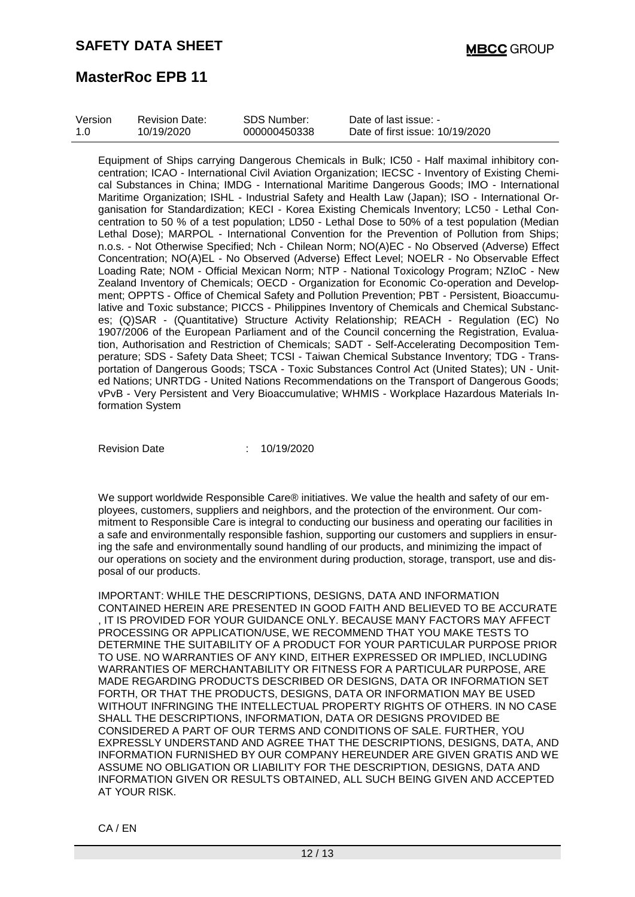| Version | <b>Revision Date:</b> | SDS Number:  | Date of last issue: -           |
|---------|-----------------------|--------------|---------------------------------|
| 1 O     | 10/19/2020            | 000000450338 | Date of first issue: 10/19/2020 |

Equipment of Ships carrying Dangerous Chemicals in Bulk; IC50 - Half maximal inhibitory concentration; ICAO - International Civil Aviation Organization; IECSC - Inventory of Existing Chemical Substances in China; IMDG - International Maritime Dangerous Goods; IMO - International Maritime Organization; ISHL - Industrial Safety and Health Law (Japan); ISO - International Organisation for Standardization; KECI - Korea Existing Chemicals Inventory; LC50 - Lethal Concentration to 50 % of a test population; LD50 - Lethal Dose to 50% of a test population (Median Lethal Dose); MARPOL - International Convention for the Prevention of Pollution from Ships; n.o.s. - Not Otherwise Specified; Nch - Chilean Norm; NO(A)EC - No Observed (Adverse) Effect Concentration; NO(A)EL - No Observed (Adverse) Effect Level; NOELR - No Observable Effect Loading Rate; NOM - Official Mexican Norm; NTP - National Toxicology Program; NZIoC - New Zealand Inventory of Chemicals; OECD - Organization for Economic Co-operation and Development; OPPTS - Office of Chemical Safety and Pollution Prevention; PBT - Persistent, Bioaccumulative and Toxic substance; PICCS - Philippines Inventory of Chemicals and Chemical Substances; (Q)SAR - (Quantitative) Structure Activity Relationship; REACH - Regulation (EC) No 1907/2006 of the European Parliament and of the Council concerning the Registration, Evaluation, Authorisation and Restriction of Chemicals; SADT - Self-Accelerating Decomposition Temperature; SDS - Safety Data Sheet; TCSI - Taiwan Chemical Substance Inventory; TDG - Transportation of Dangerous Goods; TSCA - Toxic Substances Control Act (United States); UN - United Nations; UNRTDG - United Nations Recommendations on the Transport of Dangerous Goods; vPvB - Very Persistent and Very Bioaccumulative; WHMIS - Workplace Hazardous Materials Information System

Revision Date : 10/19/2020

We support worldwide Responsible Care® initiatives. We value the health and safety of our employees, customers, suppliers and neighbors, and the protection of the environment. Our commitment to Responsible Care is integral to conducting our business and operating our facilities in a safe and environmentally responsible fashion, supporting our customers and suppliers in ensuring the safe and environmentally sound handling of our products, and minimizing the impact of our operations on society and the environment during production, storage, transport, use and disposal of our products.

IMPORTANT: WHILE THE DESCRIPTIONS, DESIGNS, DATA AND INFORMATION CONTAINED HEREIN ARE PRESENTED IN GOOD FAITH AND BELIEVED TO BE ACCURATE , IT IS PROVIDED FOR YOUR GUIDANCE ONLY. BECAUSE MANY FACTORS MAY AFFECT PROCESSING OR APPLICATION/USE, WE RECOMMEND THAT YOU MAKE TESTS TO DETERMINE THE SUITABILITY OF A PRODUCT FOR YOUR PARTICULAR PURPOSE PRIOR TO USE. NO WARRANTIES OF ANY KIND, EITHER EXPRESSED OR IMPLIED, INCLUDING WARRANTIES OF MERCHANTABILITY OR FITNESS FOR A PARTICULAR PURPOSE, ARE MADE REGARDING PRODUCTS DESCRIBED OR DESIGNS, DATA OR INFORMATION SET FORTH, OR THAT THE PRODUCTS, DESIGNS, DATA OR INFORMATION MAY BE USED WITHOUT INFRINGING THE INTELLECTUAL PROPERTY RIGHTS OF OTHERS. IN NO CASE SHALL THE DESCRIPTIONS, INFORMATION, DATA OR DESIGNS PROVIDED BE CONSIDERED A PART OF OUR TERMS AND CONDITIONS OF SALE. FURTHER, YOU EXPRESSLY UNDERSTAND AND AGREE THAT THE DESCRIPTIONS, DESIGNS, DATA, AND INFORMATION FURNISHED BY OUR COMPANY HEREUNDER ARE GIVEN GRATIS AND WE ASSUME NO OBLIGATION OR LIABILITY FOR THE DESCRIPTION, DESIGNS, DATA AND INFORMATION GIVEN OR RESULTS OBTAINED, ALL SUCH BEING GIVEN AND ACCEPTED AT YOUR RISK.

CA / EN